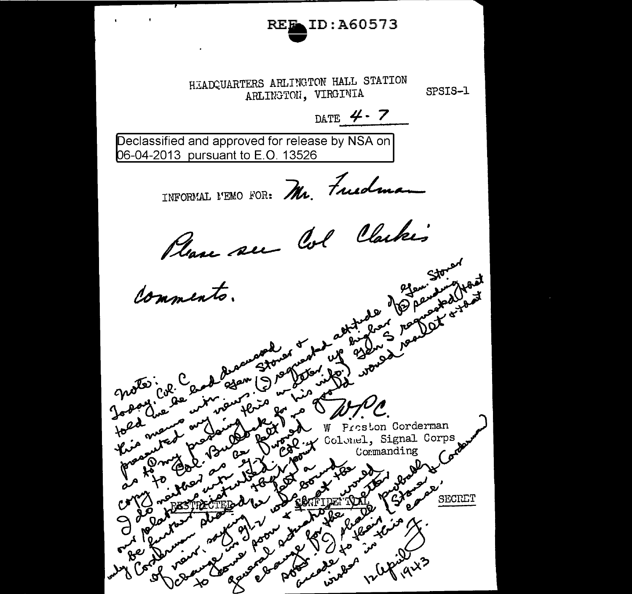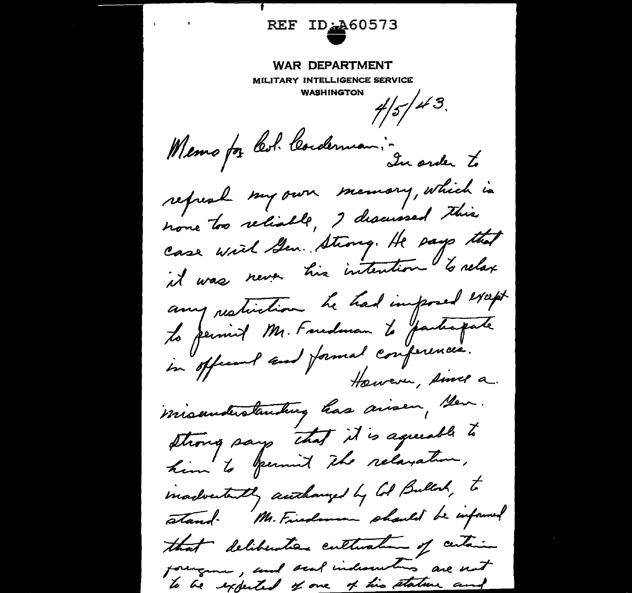REF ID: 460573  $\mathbf{r} = \left( \begin{array}{cc} 0 & \mathbf{r} \\ \mathbf{r} & \mathbf{r} \end{array} \right)$  , where  $\mathbf{r} = \left( \begin{array}{cc} \mathbf{r} & \mathbf{r} \\ \mathbf{r} & \mathbf{r} \end{array} \right)$ **WAR DEPARTMENT** MILITARY INTELLIGENCE SERVICE WASHINGTON  $\frac{1}{5}/\frac{1}{3}$ Memo for Col. Cordennan: -<br>In order to refreal my own memory, which is none too reliable, I discussed this case with Sen. Strong. He page that it was never his intention to relax any restinction he had imposed except les permit Mr. Foudman le participate in officent and formal conferences. However, since a misunderstanding has aisen, sen. strong says that it is agreeable to him to yourn't the relaxation, madvertently authorized by Col Bullock, to stand. Mr. Finademan should be informed that deliberation culturaline of certain foreignes, and sent indiscuting are not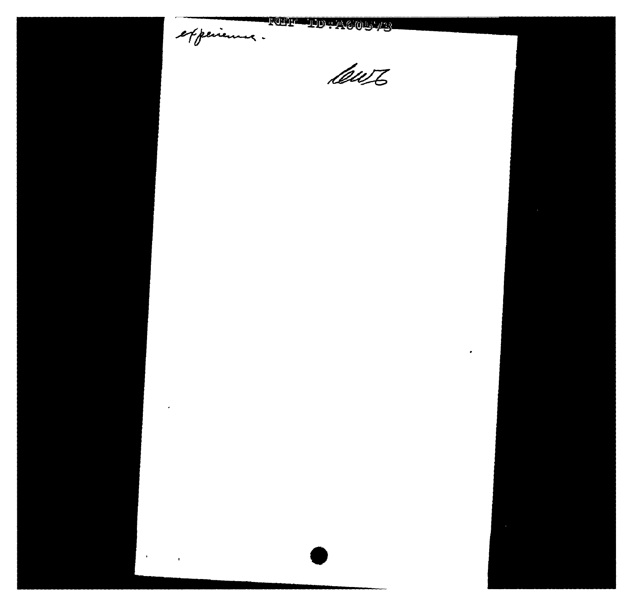experience.

 $\epsilon$ 

 $\sim 40\%$ 

 $\mathcal{L}^{\text{max}}_{\text{max}}$ 

# **REFERENCES**

Cewz

 $\blacksquare$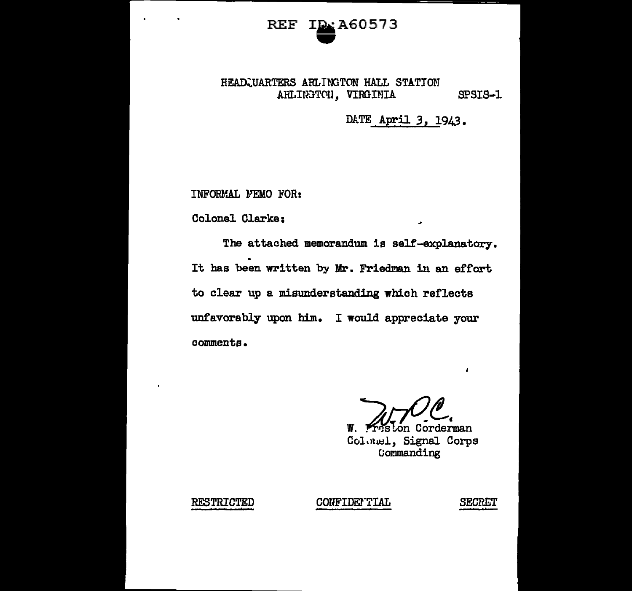### A60573 **REF**

#### HEADCUARTERS ARLINGTON HALL STATION ARLINGTON, VIRGIMIA SPSTS-1

## DATE April 3, 1943.

INFORMAL MEMO FOR:

Colonel Clarke:

The attached memorandum is self-explanatory. It has been written by Mr. Friedman in an effort to clear up a misunderstanding which reflects unfavorably upon him. I would appreciate your comments.

Preston Corderman

₩. Colonel, Signal Corps Commanding

**RESTRICTED** 

CONFIDENTIAL

**SECRET** 

 $\lambda$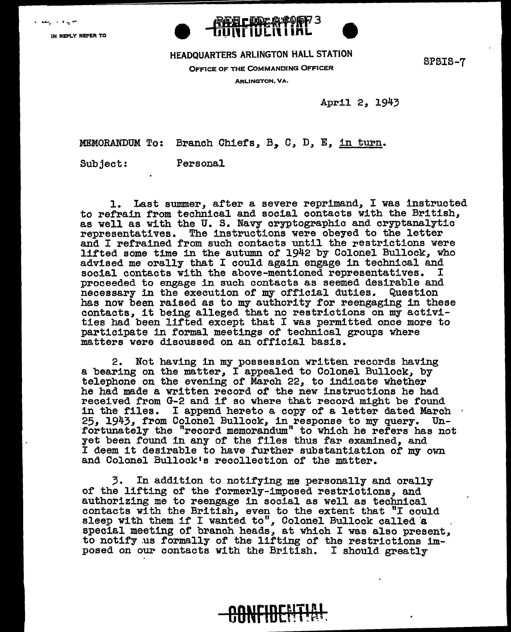IN REPLY REFER TO



## HEADQUARTERS ARLINGTON HALL STATION SPSIS-7 OFFICE OF THE COMMANDING OFFICER

ARLINGTON, VA.

April 2, 1943

MEMORANDUM To: Branch Chiefs, B, *C, D,* E, in turn.

Subject: Personal

1. Last summer, after a severe reprimand, I was instructed to refrain from technical and social contacts with the British, as well as with the U. s. Navy cryptographic and cryptanalytic representatives. The instructions were obeyed to the letter and I refrained from such contacts until the restrictions were lifted some time in the autumn of 1942 by Colonel Bullock, who advised me orally that I could again engage in technical and social contacts with the above-mentioned representatives. proceeded to engage in such contacts as seemed desirable and necessary in the execution of my official duties. Question has now been raised as to my authority for reengaging in these contacts, it being alleged that no restrictions on my activities had been lifted except that I was permitted once more to participate in formal meetings or technical groups where matters were discussed on an official basis.

2. Not having in my possession written records having a bearing on the matter, I appealed to Colonel Bullock, by telephone on the evening of March 22, to indicate whether telephone on the evening of March 22, to indicate whether he had made a written record of the new instructions he had received from G-2 and if so where that record might be found in the files. I append hereto a copy of a letter dated March 25, 1943, from Colonel Bullock, in response to my query. Un fortunately the "record memorandum" to which he refers has not yet been found in any of the files thus far examined, and I deem it desirable to have further substantiation of my own and Colonel Bullock's recollection of the matter.

3. In addition to notifying me personally and orally of the lifting of the formerly-imposed restrictions, and authorizing me to reengage in social as well as technical contacts with the British, even to the extent that "I could sleep with them if I wanted to", Colonel Bullock called 'a special meeting of branch heads, at which I was also present, to notify us formally of the lifting of the restrictions imposed on our contacts with the British. I should greatly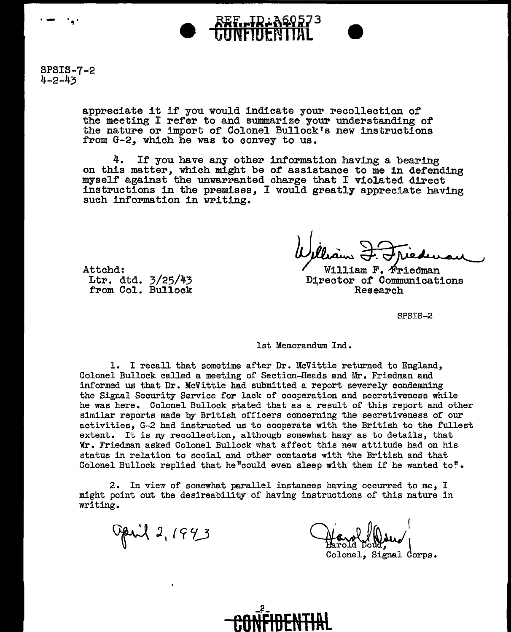

SPSIS-7-2 4-2-43

Attchd:

Ltr. dtd. 3/25/43 from Col. Bullock

appreciate it if you would indicate your recollection of the meeting I refer to and summarize your understanding of the nature or import of Colonel Bullock's new instructions from G-2, which he was to convey to us.

4. If you have any other information having a bearing on this matter, which might be of assistance to me in defending myself against the unwarranted charge that I violated direct instructions in the premises, I would greatly appreciate having such information in writing.

 $W1111$ iam  $F.$   $\Phi$ riedman Director of Communications<br>Research

SPSIS-2

1st Memorandum Ind.

1. I recall that sometime after Dr. McVittie returned to England, Colonel Bullock called a meeting of Section-Heads and Mr. Friedman and informed us that Dr. McVittie had submitted a report severely condemning the Signal Security Service for lack of cooperation and secretiveness while he was here. Colonel Bullock stated that as a result of this report and other similar reports made by British officers concerning the secretiveness of our activities, G-2 had instructed us to cooperate with the British to the fullest extent. It is my recollection, although somewhat hazy as to details, that Wr. Friedman asked Colonel Bullock what affect this new attitude had on his status in relation to social and other contacts with the British and that Colonel Bullock replied that he"could even sleep with them if he wanted to".

2. In view of somewhat parallel instances having occurred to me, I might point out the desireability of having instructions of this nature in writing.

Opril 2, 1943

Colonel, Signal Corps.

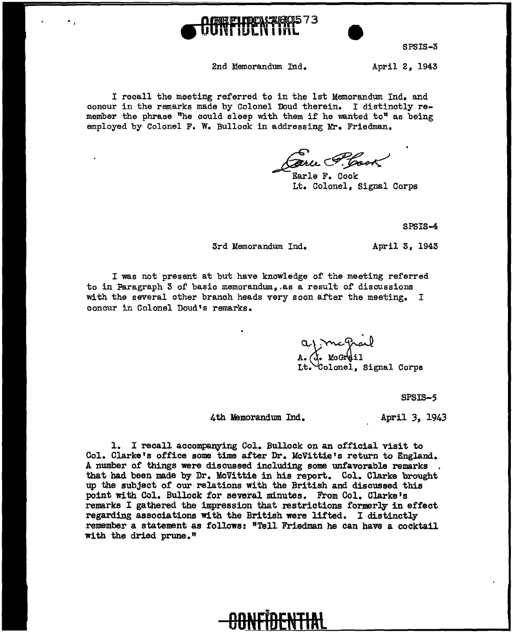

SPSIS-3

2nd lfemorandum Ind.

April 2, 1943

I recall the meeting referred to in the 1st Memorandum Ind. and concur in the remarks made by Colonel Doud therein. I distinctly remember the phrase "he could sleep with them if he wanted to" as being employed by Colonel F. W. Bullock in addressing Mr. Friedman.

arce F. Cook

Lt. Colonel, Signal Corps

SPSIS-4

3rd Memorandum Ind. 4pril 3, 1943

I was not present at but have knowledge of the meeting referred to in Paragraph 3 of basic memorandum,.as a result of discussions with the several other branch heads very soon after the meeting. I concur in Colonel Doud's remarks.

> apmcgrad A. (J. McGrail Colonel, Signal Corps

> > SPSIS-5

4th Memorandum Ind.

April *3,* 1943

1. I recall accompanying Ool. Bullock on an official visit to Col. Clarke's office some time after Dr. McVittie's return to England. A number of things were discussed including some unfavorable remarks that had been made by Dr. McVittie in his report. Col. Clarke brought up the subject of our relations with the British and discussed this point With Col. Bullock for several minutes. From Col. Clarke's remarks I gathered the impression that restrictions formerly in effect regarding associations with the British were lifted. I distinctly remember a statement as follows: "Tell Friedman he can have a cocktail with the dried prune.<sup>#</sup>